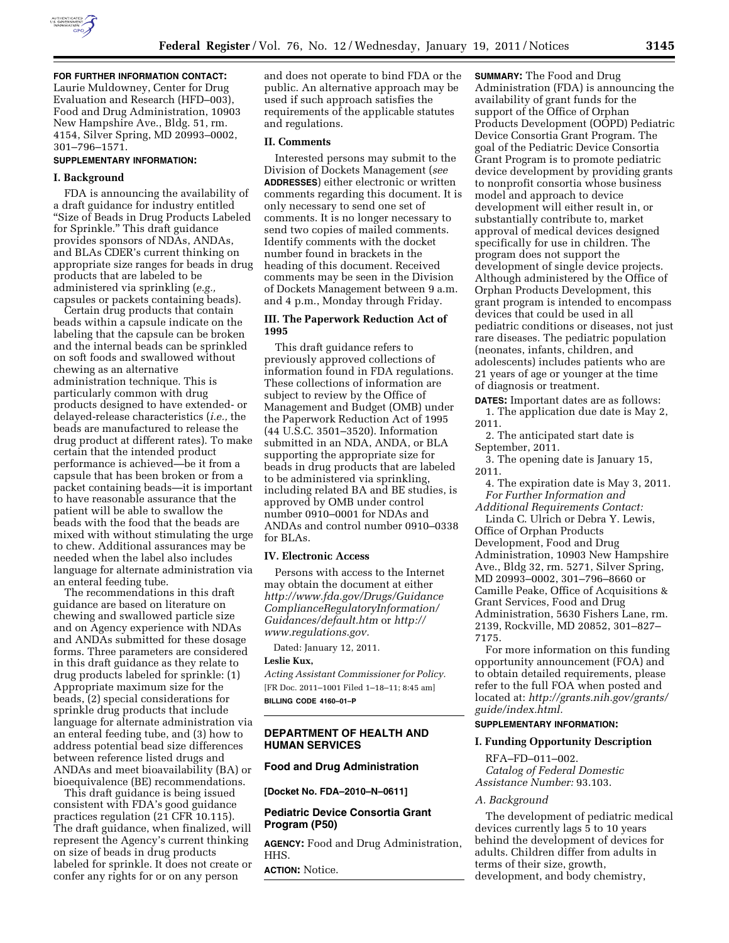

**FOR FURTHER INFORMATION CONTACT:**  Laurie Muldowney, Center for Drug Evaluation and Research (HFD–003) Food and Drug Administration, 10903 New Hampshire Ave., Bldg. 51, rm. 4154, Silver Spring, MD 20993–0002, 301–796–1571.

## **SUPPLEMENTARY INFORMATION:**

#### **I. Background**

FDA is announcing the availability of a draft guidance for industry entitled ''Size of Beads in Drug Products Labeled for Sprinkle.'' This draft guidance provides sponsors of NDAs, ANDAs, and BLAs CDER's current thinking on appropriate size ranges for beads in drug products that are labeled to be administered via sprinkling (*e.g.,*  capsules or packets containing beads).

Certain drug products that contain beads within a capsule indicate on the labeling that the capsule can be broken and the internal beads can be sprinkled on soft foods and swallowed without chewing as an alternative administration technique. This is particularly common with drug products designed to have extended- or delayed-release characteristics (*i.e.,* the beads are manufactured to release the drug product at different rates). To make certain that the intended product performance is achieved—be it from a capsule that has been broken or from a packet containing beads—it is important to have reasonable assurance that the patient will be able to swallow the beads with the food that the beads are mixed with without stimulating the urge to chew. Additional assurances may be needed when the label also includes language for alternate administration via an enteral feeding tube.

The recommendations in this draft guidance are based on literature on chewing and swallowed particle size and on Agency experience with NDAs and ANDAs submitted for these dosage forms. Three parameters are considered in this draft guidance as they relate to drug products labeled for sprinkle: (1) Appropriate maximum size for the beads, (2) special considerations for sprinkle drug products that include language for alternate administration via an enteral feeding tube, and (3) how to address potential bead size differences between reference listed drugs and ANDAs and meet bioavailability (BA) or bioequivalence (BE) recommendations.

This draft guidance is being issued consistent with FDA's good guidance practices regulation (21 CFR 10.115). The draft guidance, when finalized, will represent the Agency's current thinking on size of beads in drug products labeled for sprinkle. It does not create or confer any rights for or on any person

and does not operate to bind FDA or the public. An alternative approach may be used if such approach satisfies the requirements of the applicable statutes and regulations.

### **II. Comments**

Interested persons may submit to the Division of Dockets Management (*see*  **ADDRESSES**) either electronic or written comments regarding this document. It is only necessary to send one set of comments. It is no longer necessary to send two copies of mailed comments. Identify comments with the docket number found in brackets in the heading of this document. Received comments may be seen in the Division of Dockets Management between 9 a.m. and 4 p.m., Monday through Friday.

# **III. The Paperwork Reduction Act of 1995**

This draft guidance refers to previously approved collections of information found in FDA regulations. These collections of information are subject to review by the Office of Management and Budget (OMB) under the Paperwork Reduction Act of 1995 (44 U.S.C. 3501–3520). Information submitted in an NDA, ANDA, or BLA supporting the appropriate size for beads in drug products that are labeled to be administered via sprinkling, including related BA and BE studies, is approved by OMB under control number 0910–0001 for NDAs and ANDAs and control number 0910–0338 for BLAs.

#### **IV. Electronic Access**

Persons with access to the Internet may obtain the document at either *[http://www.fda.gov/Drugs/Guidance](http://www.fda.gov/Drugs/GuidanceComplianceRegulatoryInformation/Guidances/default.htm) [ComplianceRegulatoryInformation/](http://www.fda.gov/Drugs/GuidanceComplianceRegulatoryInformation/Guidances/default.htm) [Guidances/default.htm](http://www.fda.gov/Drugs/GuidanceComplianceRegulatoryInformation/Guidances/default.htm)* or *[http://](http://www.regulations.gov)  [www.regulations.gov.](http://www.regulations.gov)* 

Dated: January 12, 2011.

# **Leslie Kux,**

*Acting Assistant Commissioner for Policy.*  [FR Doc. 2011–1001 Filed 1–18–11; 8:45 am] **BILLING CODE 4160–01–P** 

# **DEPARTMENT OF HEALTH AND HUMAN SERVICES**

## **Food and Drug Administration**

## **[Docket No. FDA–2010–N–0611]**

# **Pediatric Device Consortia Grant Program (P50)**

**AGENCY:** Food and Drug Administration, HHS.

**ACTION:** Notice.

**SUMMARY:** The Food and Drug Administration (FDA) is announcing the availability of grant funds for the support of the Office of Orphan Products Development (OOPD) Pediatric Device Consortia Grant Program. The goal of the Pediatric Device Consortia Grant Program is to promote pediatric device development by providing grants to nonprofit consortia whose business model and approach to device development will either result in, or substantially contribute to, market approval of medical devices designed specifically for use in children. The program does not support the development of single device projects. Although administered by the Office of Orphan Products Development, this grant program is intended to encompass devices that could be used in all pediatric conditions or diseases, not just rare diseases. The pediatric population (neonates, infants, children, and adolescents) includes patients who are 21 years of age or younger at the time of diagnosis or treatment.

**DATES:** Important dates are as follows: 1. The application due date is May 2, 2011.

2. The anticipated start date is September, 2011.

3. The opening date is January 15, 2011.

4. The expiration date is May 3, 2011. *For Further Information and* 

*Additional Requirements Contact:*  Linda C. Ulrich or Debra Y. Lewis,

Office of Orphan Products Development, Food and Drug Administration, 10903 New Hampshire Ave., Bldg 32, rm. 5271, Silver Spring, MD 20993–0002, 301–796–8660 or Camille Peake, Office of Acquisitions & Grant Services, Food and Drug Administration, 5630 Fishers Lane, rm. 2139, Rockville, MD 20852, 301–827– 7175.

For more information on this funding opportunity announcement (FOA) and to obtain detailed requirements, please refer to the full FOA when posted and located at: *[http://grants.nih.gov/grants/](http://grants.nih.gov/grants/guide/index.html) [guide/index.html.](http://grants.nih.gov/grants/guide/index.html)* 

### **SUPPLEMENTARY INFORMATION:**

#### **I. Funding Opportunity Description**

RFA–FD–011–002. *Catalog of Federal Domestic Assistance Number:* 93.103.

#### *A. Background*

The development of pediatric medical devices currently lags 5 to 10 years behind the development of devices for adults. Children differ from adults in terms of their size, growth, development, and body chemistry,